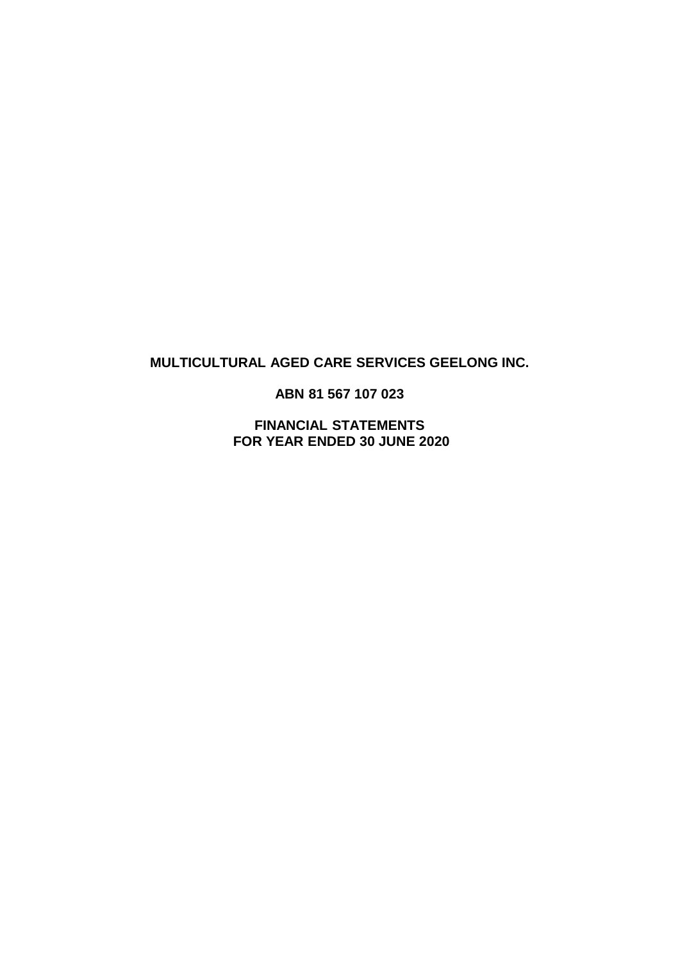# **MULTICULTURAL AGED CARE SERVICES GEELONG INC.**

**ABN 81 567 107 023**

**FINANCIAL STATEMENTS FOR YEAR ENDED 30 JUNE 2020**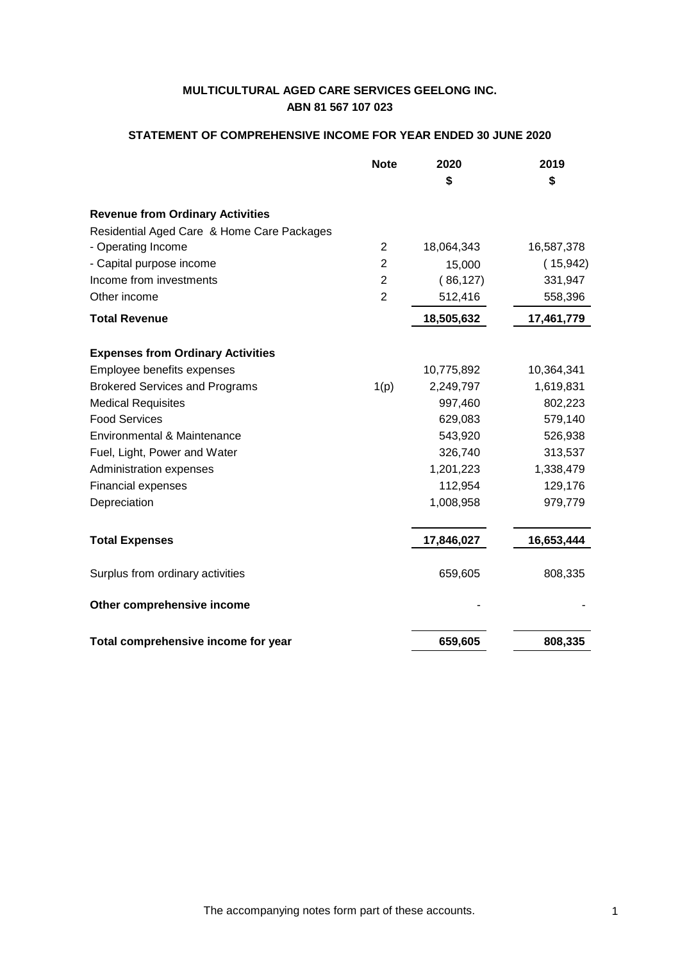## **STATEMENT OF COMPREHENSIVE INCOME FOR YEAR ENDED 30 JUNE 2020**

|                                            | <b>Note</b>    | 2020       | 2019       |
|--------------------------------------------|----------------|------------|------------|
|                                            |                | S          | \$         |
| <b>Revenue from Ordinary Activities</b>    |                |            |            |
| Residential Aged Care & Home Care Packages |                |            |            |
| - Operating Income                         | $\overline{2}$ | 18,064,343 | 16,587,378 |
| - Capital purpose income                   | $\overline{2}$ | 15,000     | (15,942)   |
| Income from investments                    | $\overline{2}$ | (86, 127)  | 331,947    |
| Other income                               | $\overline{2}$ | 512,416    | 558,396    |
| <b>Total Revenue</b>                       |                | 18,505,632 | 17,461,779 |
| <b>Expenses from Ordinary Activities</b>   |                |            |            |
| Employee benefits expenses                 |                | 10,775,892 | 10,364,341 |
| <b>Brokered Services and Programs</b>      | 1(p)           | 2,249,797  | 1,619,831  |
| <b>Medical Requisites</b>                  |                | 997,460    | 802,223    |
| <b>Food Services</b>                       |                | 629,083    | 579,140    |
| Environmental & Maintenance                |                | 543,920    | 526,938    |
| Fuel, Light, Power and Water               |                | 326,740    | 313,537    |
| Administration expenses                    |                | 1,201,223  | 1,338,479  |
| Financial expenses                         |                | 112,954    | 129,176    |
| Depreciation                               |                | 1,008,958  | 979,779    |
| <b>Total Expenses</b>                      |                | 17,846,027 | 16,653,444 |
| Surplus from ordinary activities           |                | 659,605    | 808,335    |
| Other comprehensive income                 |                |            |            |
| Total comprehensive income for year        |                | 659,605    | 808,335    |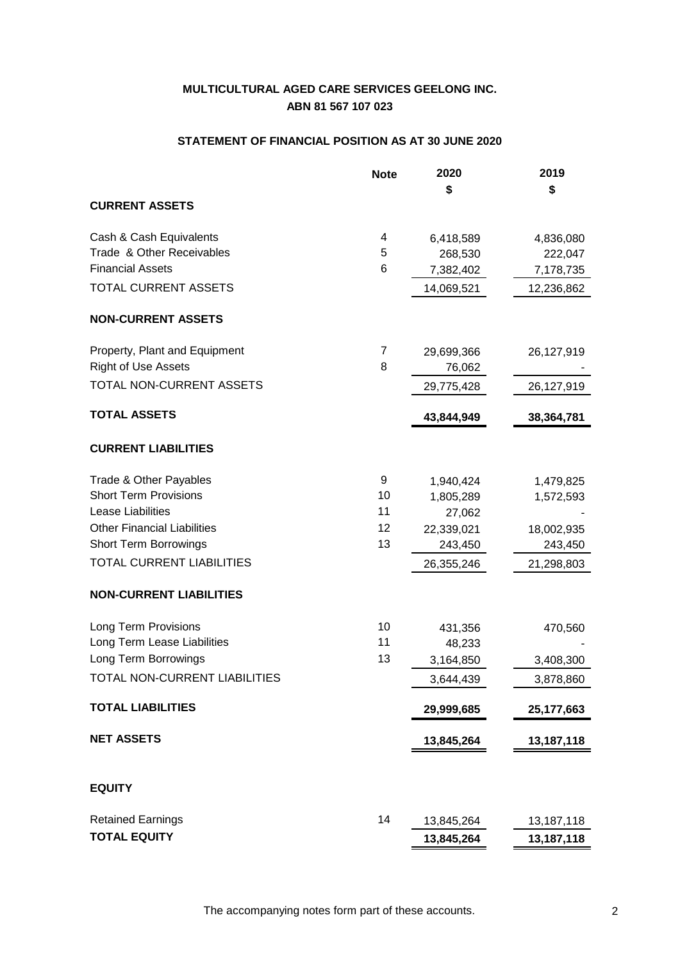## **STATEMENT OF FINANCIAL POSITION AS AT 30 JUNE 2020**

|                                    | <b>Note</b> | 2020<br>\$ | 2019       |
|------------------------------------|-------------|------------|------------|
| <b>CURRENT ASSETS</b>              |             |            | \$         |
| Cash & Cash Equivalents            | 4           | 6,418,589  | 4,836,080  |
| Trade & Other Receivables          | 5           | 268,530    | 222,047    |
| <b>Financial Assets</b>            | 6           | 7,382,402  | 7,178,735  |
| <b>TOTAL CURRENT ASSETS</b>        |             | 14,069,521 | 12,236,862 |
| <b>NON-CURRENT ASSETS</b>          |             |            |            |
| Property, Plant and Equipment      | 7           | 29,699,366 | 26,127,919 |
| <b>Right of Use Assets</b>         | 8           | 76,062     |            |
| TOTAL NON-CURRENT ASSETS           |             | 29,775,428 | 26,127,919 |
| <b>TOTAL ASSETS</b>                |             | 43,844,949 | 38,364,781 |
| <b>CURRENT LIABILITIES</b>         |             |            |            |
| Trade & Other Payables             | 9           | 1,940,424  | 1,479,825  |
| <b>Short Term Provisions</b>       | 10          | 1,805,289  | 1,572,593  |
| Lease Liabilities                  | 11          | 27,062     |            |
| <b>Other Financial Liabilities</b> | 12          | 22,339,021 | 18,002,935 |
| <b>Short Term Borrowings</b>       | 13          | 243,450    | 243,450    |
| <b>TOTAL CURRENT LIABILITIES</b>   |             | 26,355,246 | 21,298,803 |
| <b>NON-CURRENT LIABILITIES</b>     |             |            |            |
| Long Term Provisions               | 10          | 431,356    | 470,560    |
| Long Term Lease Liabilities        | 11          | 48,233     |            |
| Long Term Borrowings               | 13          | 3,164,850  | 3,408,300  |
| TOTAL NON-CURRENT LIABILITIES      |             | 3,644,439  | 3,878,860  |
| <b>TOTAL LIABILITIES</b>           |             | 29,999,685 | 25,177,663 |
| <b>NET ASSETS</b>                  |             | 13,845,264 | 13,187,118 |
| <b>EQUITY</b>                      |             |            |            |
| <b>Retained Earnings</b>           | 14          | 13,845,264 | 13,187,118 |
| <b>TOTAL EQUITY</b>                |             | 13,845,264 | 13,187,118 |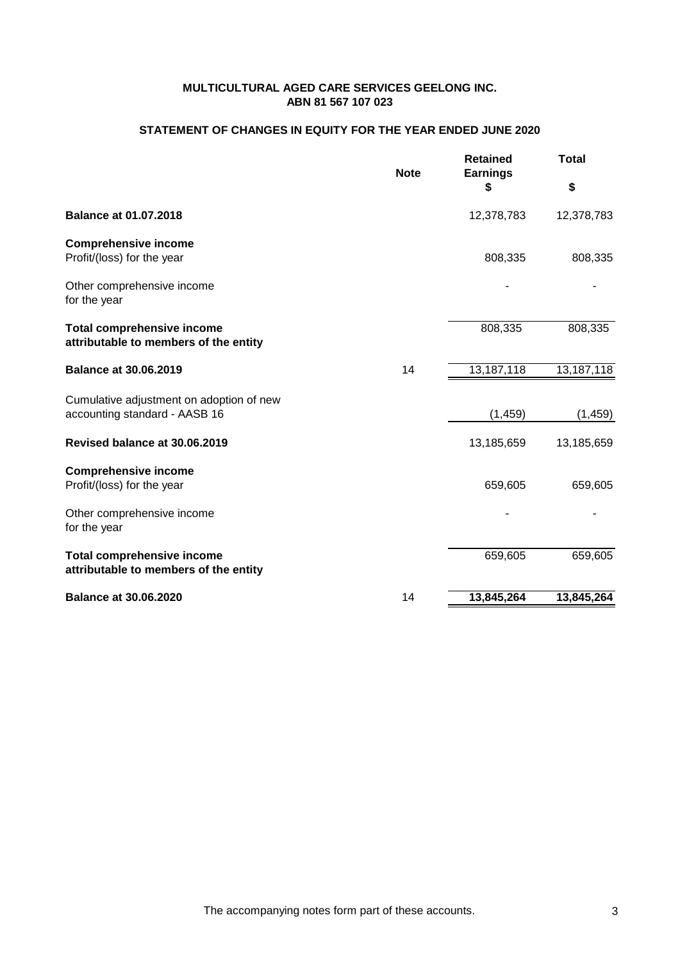## **STATEMENT OF CHANGES IN EQUITY FOR THE YEAR ENDED JUNE 2020**

|                                                                            | <b>Note</b> | <b>Retained</b><br><b>Earnings</b> | Total                   |  |
|----------------------------------------------------------------------------|-------------|------------------------------------|-------------------------|--|
|                                                                            |             | S                                  | \$                      |  |
| <b>Balance at 01.07.2018</b>                                               |             | 12,378,783                         | 12,378,783              |  |
| <b>Comprehensive income</b><br>Profit/(loss) for the year                  |             | 808,335                            | 808,335                 |  |
| Other comprehensive income<br>for the year                                 |             |                                    |                         |  |
| <b>Total comprehensive income</b><br>attributable to members of the entity |             | 808,335                            | 808,335                 |  |
| <b>Balance at 30.06.2019</b>                                               | 14          | 13,187,118                         | $13,187,1\overline{18}$ |  |
| Cumulative adjustment on adoption of new<br>accounting standard - AASB 16  |             | (1, 459)                           | (1, 459)                |  |
| Revised balance at 30.06.2019                                              |             | 13,185,659                         | 13,185,659              |  |
| <b>Comprehensive income</b><br>Profit/(loss) for the year                  |             | 659,605                            | 659,605                 |  |
| Other comprehensive income<br>for the year                                 |             |                                    |                         |  |
| <b>Total comprehensive income</b><br>attributable to members of the entity |             | 659,605                            | 659,605                 |  |
| <b>Balance at 30.06.2020</b>                                               | 14          | 13,845,264                         | 13,845,264              |  |
|                                                                            |             |                                    |                         |  |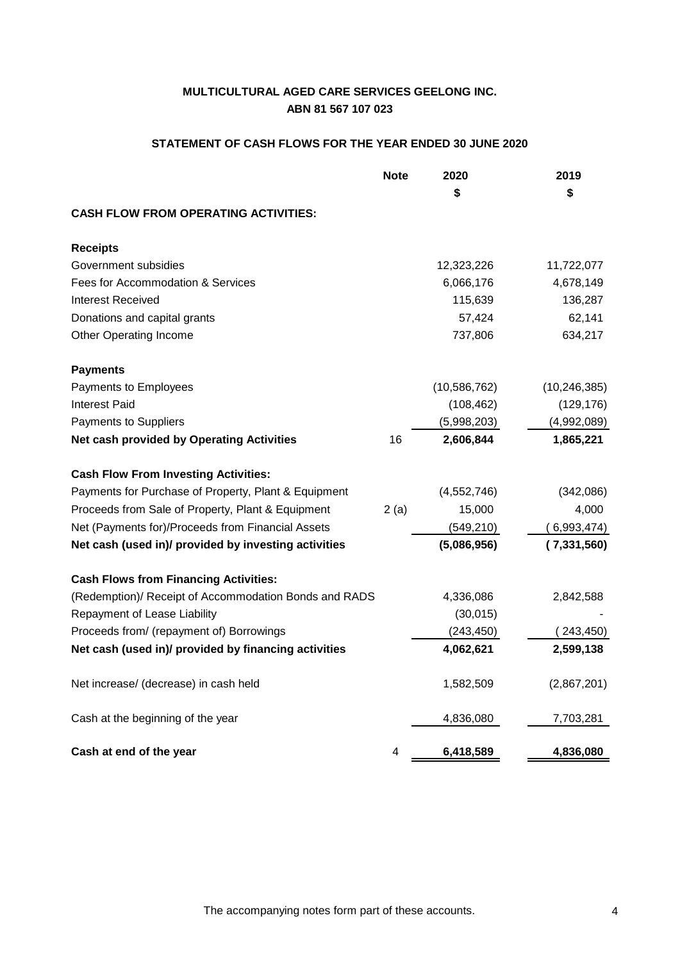# **STATEMENT OF CASH FLOWS FOR THE YEAR ENDED 30 JUNE 2020**

|                                                       | <b>Note</b> | 2020<br>\$     | 2019<br>\$     |
|-------------------------------------------------------|-------------|----------------|----------------|
| <b>CASH FLOW FROM OPERATING ACTIVITIES:</b>           |             |                |                |
| <b>Receipts</b>                                       |             |                |                |
| Government subsidies                                  |             | 12,323,226     | 11,722,077     |
| Fees for Accommodation & Services                     |             | 6,066,176      | 4,678,149      |
| <b>Interest Received</b>                              |             | 115,639        | 136,287        |
| Donations and capital grants                          |             | 57,424         | 62,141         |
| <b>Other Operating Income</b>                         |             | 737,806        | 634,217        |
| <b>Payments</b>                                       |             |                |                |
| Payments to Employees                                 |             | (10, 586, 762) | (10, 246, 385) |
| <b>Interest Paid</b>                                  |             | (108, 462)     | (129, 176)     |
| Payments to Suppliers                                 |             | (5,998,203)    | (4,992,089)    |
| Net cash provided by Operating Activities             | 16          | 2,606,844      | 1,865,221      |
| <b>Cash Flow From Investing Activities:</b>           |             |                |                |
| Payments for Purchase of Property, Plant & Equipment  |             | (4, 552, 746)  | (342,086)      |
| Proceeds from Sale of Property, Plant & Equipment     | 2(a)        | 15,000         | 4,000          |
| Net (Payments for)/Proceeds from Financial Assets     |             | (549, 210)     | (6,993,474)    |
| Net cash (used in)/ provided by investing activities  |             | (5,086,956)    | (7,331,560)    |
| <b>Cash Flows from Financing Activities:</b>          |             |                |                |
| (Redemption)/ Receipt of Accommodation Bonds and RADS |             | 4,336,086      | 2,842,588      |
| Repayment of Lease Liability                          |             | (30,015)       |                |
| Proceeds from/ (repayment of) Borrowings              |             | (243, 450)     | (243, 450)     |
| Net cash (used in)/ provided by financing activities  |             | 4,062,621      | 2,599,138      |
| Net increase/ (decrease) in cash held                 |             | 1,582,509      | (2,867,201)    |
| Cash at the beginning of the year                     |             | 4,836,080      | 7,703,281      |
| Cash at end of the year                               | 4           | 6,418,589      | 4,836,080      |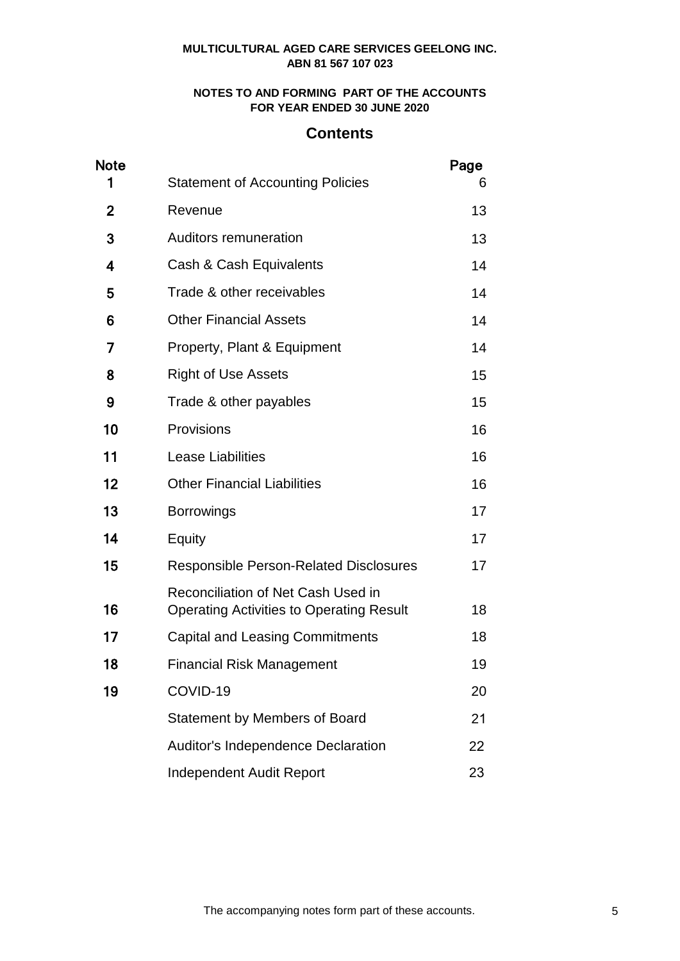## **NOTES TO AND FORMING PART OF THE ACCOUNTS FOR YEAR ENDED 30 JUNE 2020**

# **Contents**

| <b>Note</b>  |                                                                                              | Page |
|--------------|----------------------------------------------------------------------------------------------|------|
| 1            | <b>Statement of Accounting Policies</b>                                                      | 6    |
| $\mathbf{2}$ | Revenue                                                                                      | 13   |
| 3            | Auditors remuneration                                                                        | 13   |
| 4            | Cash & Cash Equivalents                                                                      | 14   |
| 5            | Trade & other receivables                                                                    | 14   |
| 6            | <b>Other Financial Assets</b>                                                                | 14   |
| 7            | Property, Plant & Equipment                                                                  | 14   |
| 8            | <b>Right of Use Assets</b>                                                                   | 15   |
| 9            | Trade & other payables                                                                       | 15   |
| 10           | Provisions                                                                                   | 16   |
| 11           | <b>Lease Liabilities</b>                                                                     | 16   |
| 12           | <b>Other Financial Liabilities</b>                                                           | 16   |
| 13           | <b>Borrowings</b>                                                                            | 17   |
| 14           | Equity                                                                                       | 17   |
| 15           | <b>Responsible Person-Related Disclosures</b>                                                | 17   |
| 16           | <b>Reconciliation of Net Cash Used in</b><br><b>Operating Activities to Operating Result</b> | 18   |
| 17           | <b>Capital and Leasing Commitments</b>                                                       | 18   |
| 18           | <b>Financial Risk Management</b>                                                             | 19   |
| 19           | COVID-19                                                                                     | 20   |
|              | <b>Statement by Members of Board</b>                                                         | 21   |
|              | Auditor's Independence Declaration                                                           | 22   |
|              | <b>Independent Audit Report</b>                                                              | 23   |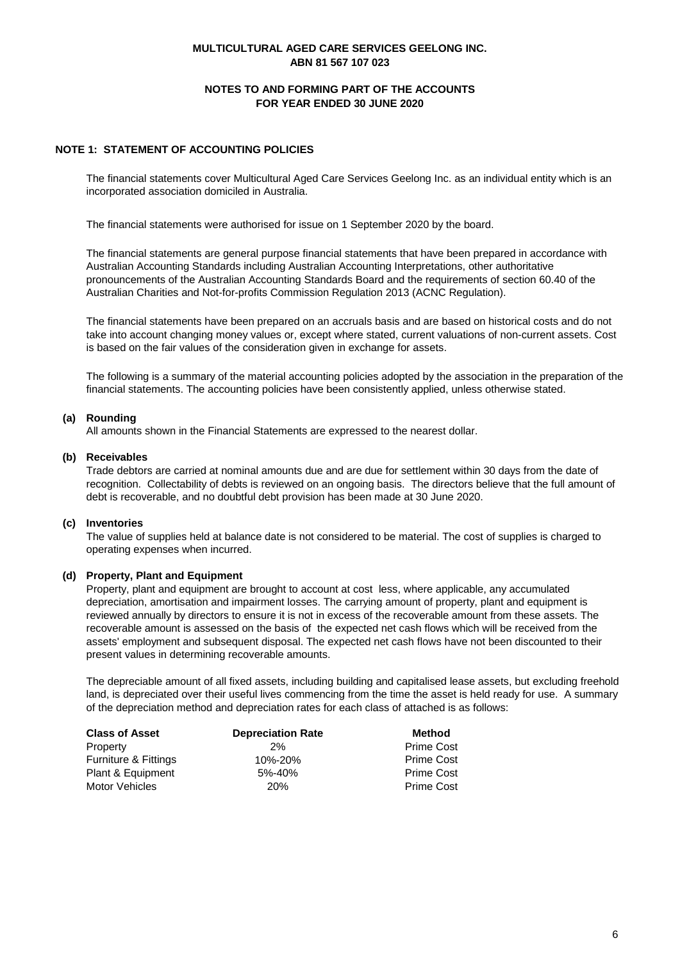## **NOTES TO AND FORMING PART OF THE ACCOUNTS FOR YEAR ENDED 30 JUNE 2020**

## **NOTE 1: STATEMENT OF ACCOUNTING POLICIES**

The financial statements cover Multicultural Aged Care Services Geelong Inc. as an individual entity which is an incorporated association domiciled in Australia.

The financial statements were authorised for issue on 1 September 2020 by the board.

The financial statements are general purpose financial statements that have been prepared in accordance with Australian Accounting Standards including Australian Accounting Interpretations, other authoritative pronouncements of the Australian Accounting Standards Board and the requirements of section 60.40 of the Australian Charities and Not-for-profits Commission Regulation 2013 (ACNC Regulation).

The financial statements have been prepared on an accruals basis and are based on historical costs and do not take into account changing money values or, except where stated, current valuations of non-current assets. Cost is based on the fair values of the consideration given in exchange for assets.

The following is a summary of the material accounting policies adopted by the association in the preparation of the financial statements. The accounting policies have been consistently applied, unless otherwise stated.

## **(a) Rounding**

All amounts shown in the Financial Statements are expressed to the nearest dollar.

### **(b) Receivables**

Trade debtors are carried at nominal amounts due and are due for settlement within 30 days from the date of recognition. Collectability of debts is reviewed on an ongoing basis. The directors believe that the full amount of debt is recoverable, and no doubtful debt provision has been made at 30 June 2020.

### **(c) Inventories**

The value of supplies held at balance date is not considered to be material. The cost of supplies is charged to operating expenses when incurred.

### **(d) Property, Plant and Equipment**

Property, plant and equipment are brought to account at cost less, where applicable, any accumulated depreciation, amortisation and impairment losses. The carrying amount of property, plant and equipment is reviewed annually by directors to ensure it is not in excess of the recoverable amount from these assets. The recoverable amount is assessed on the basis of the expected net cash flows which will be received from the assets' employment and subsequent disposal. The expected net cash flows have not been discounted to their present values in determining recoverable amounts.

The depreciable amount of all fixed assets, including building and capitalised lease assets, but excluding freehold land, is depreciated over their useful lives commencing from the time the asset is held ready for use. A summary of the depreciation method and depreciation rates for each class of attached is as follows:

| <b>Class of Asset</b>           | <b>Depreciation Rate</b> | <b>Method</b>     |
|---------------------------------|--------------------------|-------------------|
| Property                        | 2%                       | <b>Prime Cost</b> |
| <b>Furniture &amp; Fittings</b> | 10%-20%                  | <b>Prime Cost</b> |
| Plant & Equipment               | 5%-40%                   | <b>Prime Cost</b> |
| <b>Motor Vehicles</b>           | 20 <sub>%</sub>          | <b>Prime Cost</b> |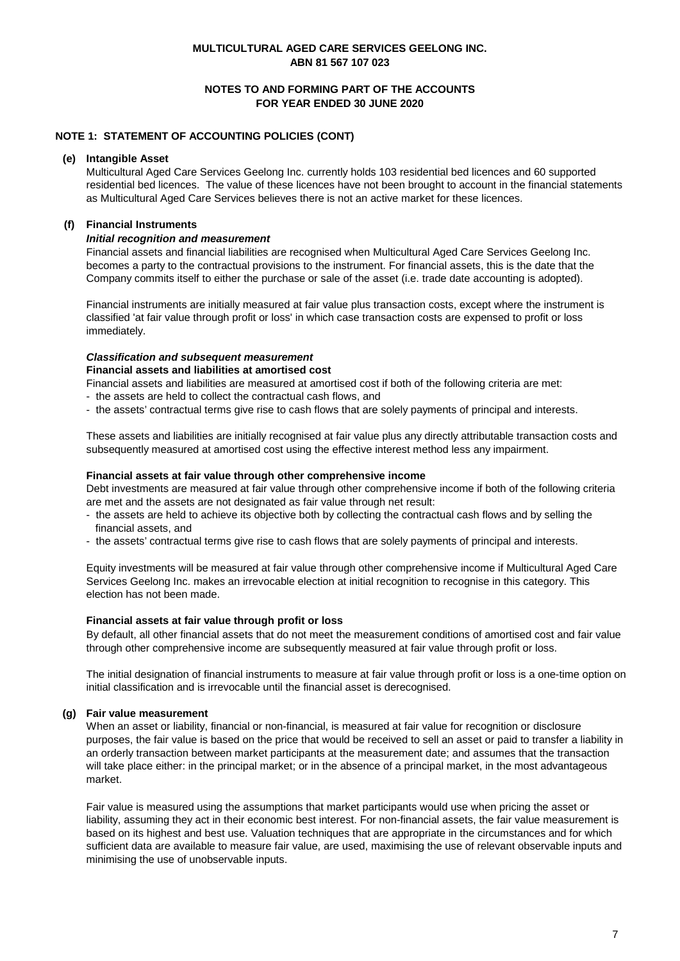## **NOTES TO AND FORMING PART OF THE ACCOUNTS FOR YEAR ENDED 30 JUNE 2020**

## **NOTE 1: STATEMENT OF ACCOUNTING POLICIES (CONT)**

#### **(e) Intangible Asset**

Multicultural Aged Care Services Geelong Inc. currently holds 103 residential bed licences and 60 supported residential bed licences. The value of these licences have not been brought to account in the financial statements as Multicultural Aged Care Services believes there is not an active market for these licences.

## **(f) Financial Instruments**

#### *Initial recognition and measurement*

Financial assets and financial liabilities are recognised when Multicultural Aged Care Services Geelong Inc. becomes a party to the contractual provisions to the instrument. For financial assets, this is the date that the Company commits itself to either the purchase or sale of the asset (i.e. trade date accounting is adopted).

Financial instruments are initially measured at fair value plus transaction costs, except where the instrument is classified 'at fair value through profit or loss' in which case transaction costs are expensed to profit or loss immediately.

# *Classification and subsequent measurement*

## **Financial assets and liabilities at amortised cost**

Financial assets and liabilities are measured at amortised cost if both of the following criteria are met:

- the assets are held to collect the contractual cash flows, and
- the assets' contractual terms give rise to cash flows that are solely payments of principal and interests.

These assets and liabilities are initially recognised at fair value plus any directly attributable transaction costs and subsequently measured at amortised cost using the effective interest method less any impairment.

#### **Financial assets at fair value through other comprehensive income**

Debt investments are measured at fair value through other comprehensive income if both of the following criteria are met and the assets are not designated as fair value through net result:

- financial assets, and - the assets are held to achieve its objective both by collecting the contractual cash flows and by selling the
- the assets' contractual terms give rise to cash flows that are solely payments of principal and interests.

Equity investments will be measured at fair value through other comprehensive income if Multicultural Aged Care Services Geelong Inc. makes an irrevocable election at initial recognition to recognise in this category. This election has not been made.

### **Financial assets at fair value through profit or loss**

By default, all other financial assets that do not meet the measurement conditions of amortised cost and fair value through other comprehensive income are subsequently measured at fair value through profit or loss.

The initial designation of financial instruments to measure at fair value through profit or loss is a one-time option on initial classification and is irrevocable until the financial asset is derecognised.

### **(g) Fair value measurement**

When an asset or liability, financial or non-financial, is measured at fair value for recognition or disclosure purposes, the fair value is based on the price that would be received to sell an asset or paid to transfer a liability in an orderly transaction between market participants at the measurement date; and assumes that the transaction will take place either: in the principal market; or in the absence of a principal market, in the most advantageous market.

Fair value is measured using the assumptions that market participants would use when pricing the asset or liability, assuming they act in their economic best interest. For non-financial assets, the fair value measurement is based on its highest and best use. Valuation techniques that are appropriate in the circumstances and for which sufficient data are available to measure fair value, are used, maximising the use of relevant observable inputs and minimising the use of unobservable inputs.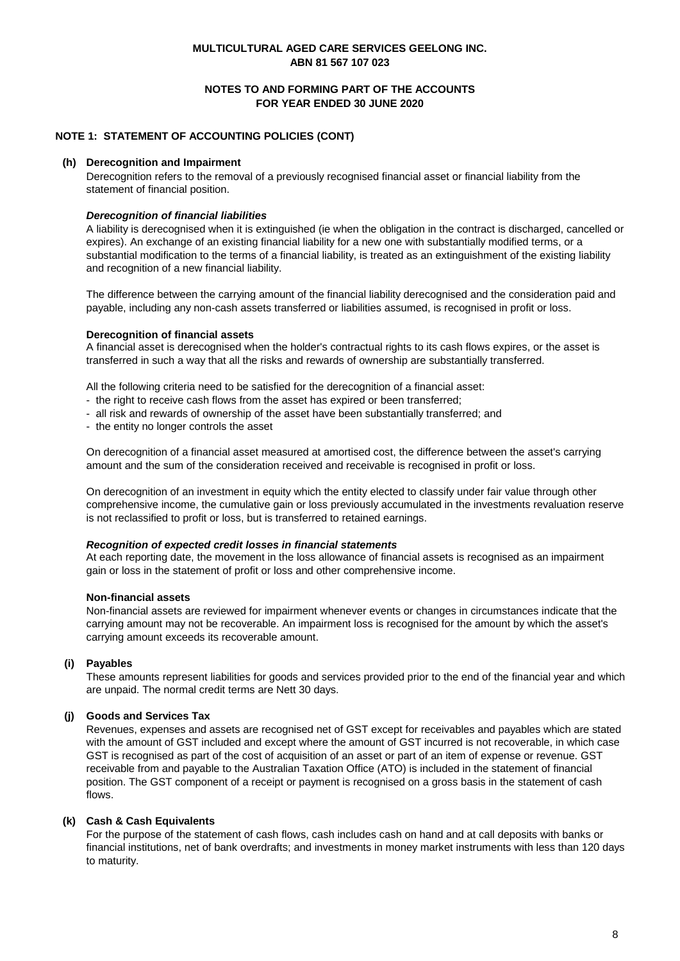### **NOTES TO AND FORMING PART OF THE ACCOUNTS FOR YEAR ENDED 30 JUNE 2020**

## **NOTE 1: STATEMENT OF ACCOUNTING POLICIES (CONT)**

#### **(h) Derecognition and Impairment**

Derecognition refers to the removal of a previously recognised financial asset or financial liability from the statement of financial position.

#### *Derecognition of financial liabilities*

A liability is derecognised when it is extinguished (ie when the obligation in the contract is discharged, cancelled or expires). An exchange of an existing financial liability for a new one with substantially modified terms, or a substantial modification to the terms of a financial liability, is treated as an extinguishment of the existing liability and recognition of a new financial liability.

The difference between the carrying amount of the financial liability derecognised and the consideration paid and payable, including any non-cash assets transferred or liabilities assumed, is recognised in profit or loss.

#### **Derecognition of financial assets**

A financial asset is derecognised when the holder's contractual rights to its cash flows expires, or the asset is transferred in such a way that all the risks and rewards of ownership are substantially transferred.

All the following criteria need to be satisfied for the derecognition of a financial asset:

- the right to receive cash flows from the asset has expired or been transferred;
- all risk and rewards of ownership of the asset have been substantially transferred; and
- the entity no longer controls the asset

On derecognition of a financial asset measured at amortised cost, the difference between the asset's carrying amount and the sum of the consideration received and receivable is recognised in profit or loss.

On derecognition of an investment in equity which the entity elected to classify under fair value through other comprehensive income, the cumulative gain or loss previously accumulated in the investments revaluation reserve is not reclassified to profit or loss, but is transferred to retained earnings.

#### *Recognition of expected credit losses in financial statements*

At each reporting date, the movement in the loss allowance of financial assets is recognised as an impairment gain or loss in the statement of profit or loss and other comprehensive income.

#### **Non-financial assets**

Non-financial assets are reviewed for impairment whenever events or changes in circumstances indicate that the carrying amount may not be recoverable. An impairment loss is recognised for the amount by which the asset's carrying amount exceeds its recoverable amount.

## **(i) Payables**

These amounts represent liabilities for goods and services provided prior to the end of the financial year and which are unpaid. The normal credit terms are Nett 30 days.

#### **(j) Goods and Services Tax**

Revenues, expenses and assets are recognised net of GST except for receivables and payables which are stated with the amount of GST included and except where the amount of GST incurred is not recoverable, in which case GST is recognised as part of the cost of acquisition of an asset or part of an item of expense or revenue. GST receivable from and payable to the Australian Taxation Office (ATO) is included in the statement of financial position. The GST component of a receipt or payment is recognised on a gross basis in the statement of cash flows.

### **(k) Cash & Cash Equivalents**

For the purpose of the statement of cash flows, cash includes cash on hand and at call deposits with banks or financial institutions, net of bank overdrafts; and investments in money market instruments with less than 120 days to maturity.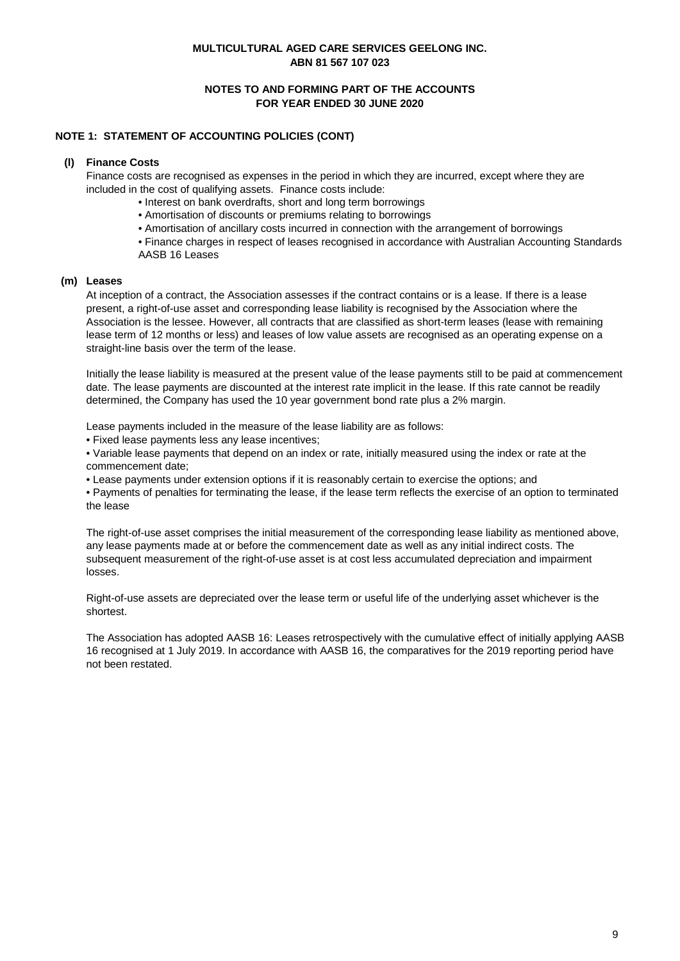## **NOTES TO AND FORMING PART OF THE ACCOUNTS FOR YEAR ENDED 30 JUNE 2020**

## **NOTE 1: STATEMENT OF ACCOUNTING POLICIES (CONT)**

### **(l) Finance Costs**

Finance costs are recognised as expenses in the period in which they are incurred, except where they are included in the cost of qualifying assets. Finance costs include:

- Interest on bank overdrafts, short and long term borrowings
- Amortisation of discounts or premiums relating to borrowings
- Amortisation of ancillary costs incurred in connection with the arrangement of borrowings

• Finance charges in respect of leases recognised in accordance with Australian Accounting Standards AASB 16 Leases

## **(m) Leases**

At inception of a contract, the Association assesses if the contract contains or is a lease. If there is a lease present, a right-of-use asset and corresponding lease liability is recognised by the Association where the Association is the lessee. However, all contracts that are classified as short-term leases (lease with remaining lease term of 12 months or less) and leases of low value assets are recognised as an operating expense on a straight-line basis over the term of the lease.

Initially the lease liability is measured at the present value of the lease payments still to be paid at commencement date. The lease payments are discounted at the interest rate implicit in the lease. If this rate cannot be readily determined, the Company has used the 10 year government bond rate plus a 2% margin.

Lease payments included in the measure of the lease liability are as follows:

• Fixed lease payments less any lease incentives;

• Variable lease payments that depend on an index or rate, initially measured using the index or rate at the commencement date;

• Lease payments under extension options if it is reasonably certain to exercise the options; and

• Payments of penalties for terminating the lease, if the lease term reflects the exercise of an option to terminated the lease

The right-of-use asset comprises the initial measurement of the corresponding lease liability as mentioned above, any lease payments made at or before the commencement date as well as any initial indirect costs. The subsequent measurement of the right-of-use asset is at cost less accumulated depreciation and impairment losses.

Right-of-use assets are depreciated over the lease term or useful life of the underlying asset whichever is the shortest.

The Association has adopted AASB 16: Leases retrospectively with the cumulative effect of initially applying AASB 16 recognised at 1 July 2019. In accordance with AASB 16, the comparatives for the 2019 reporting period have not been restated.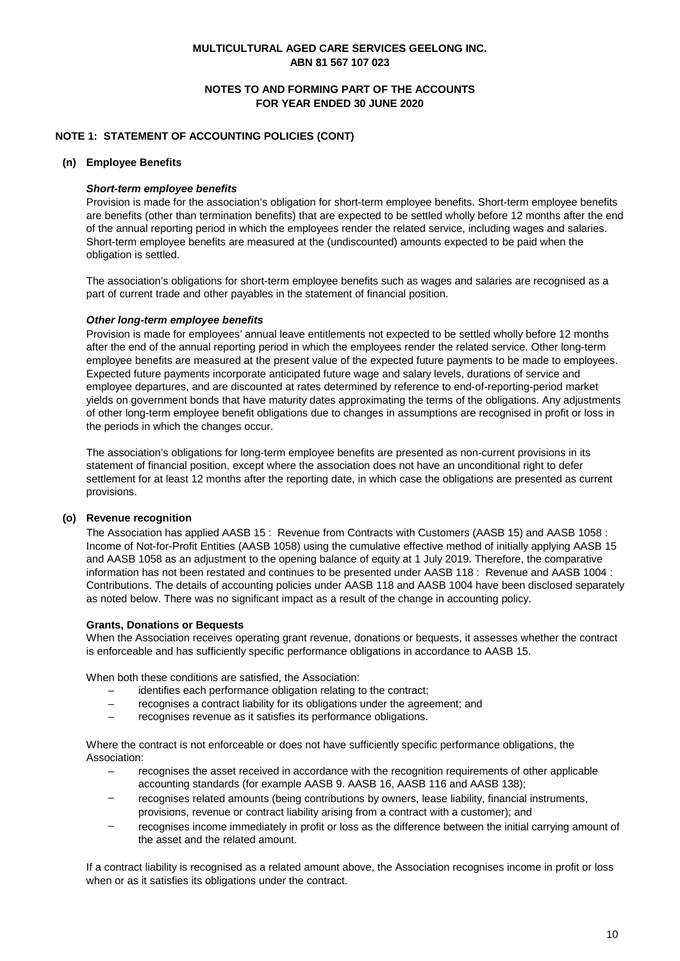## **NOTES TO AND FORMING PART OF THE ACCOUNTS FOR YEAR ENDED 30 JUNE 2020**

## **NOTE 1: STATEMENT OF ACCOUNTING POLICIES (CONT)**

#### **(n) Employee Benefits**

#### *Short-term employee benefits*

Provision is made for the association's obligation for short-term employee benefits. Short-term employee benefits are benefits (other than termination benefits) that are expected to be settled wholly before 12 months after the end of the annual reporting period in which the employees render the related service, including wages and salaries. Short-term employee benefits are measured at the (undiscounted) amounts expected to be paid when the obligation is settled.

The association's obligations for short-term employee benefits such as wages and salaries are recognised as a part of current trade and other payables in the statement of financial position.

#### *Other long-term employee benefits*

Provision is made for employees' annual leave entitlements not expected to be settled wholly before 12 months after the end of the annual reporting period in which the employees render the related service. Other long-term employee benefits are measured at the present value of the expected future payments to be made to employees. Expected future payments incorporate anticipated future wage and salary levels, durations of service and employee departures, and are discounted at rates determined by reference to end-of-reporting-period market yields on government bonds that have maturity dates approximating the terms of the obligations. Any adjustments of other long-term employee benefit obligations due to changes in assumptions are recognised in profit or loss in the periods in which the changes occur.

The association's obligations for long-term employee benefits are presented as non-current provisions in its statement of financial position, except where the association does not have an unconditional right to defer settlement for at least 12 months after the reporting date, in which case the obligations are presented as current provisions.

#### **(o) Revenue recognition**

The Association has applied AASB 15 : Revenue from Contracts with Customers (AASB 15) and AASB 1058 : Income of Not-for-Profit Entities (AASB 1058) using the cumulative effective method of initially applying AASB 15 and AASB 1058 as an adjustment to the opening balance of equity at 1 July 2019. Therefore, the comparative information has not been restated and continues to be presented under AASB 118 : Revenue and AASB 1004 : Contributions. The details of accounting policies under AASB 118 and AASB 1004 have been disclosed separately as noted below. There was no significant impact as a result of the change in accounting policy.

#### **Grants, Donations or Bequests**

When the Association receives operating grant revenue, donations or bequests, it assesses whether the contract is enforceable and has sufficiently specific performance obligations in accordance to AASB 15.

When both these conditions are satisfied, the Association:

- identifies each performance obligation relating to the contract;
- recognises a contract liability for its obligations under the agreement; and
- recognises revenue as it satisfies its performance obligations.

Where the contract is not enforceable or does not have sufficiently specific performance obligations, the Association:

- $\equiv$ recognises the asset received in accordance with the recognition requirements of other applicable accounting standards (for example AASB 9. AASB 16, AASB 116 and AASB 138);
- recognises related amounts (being contributions by owners, lease liability, financial instruments, provisions, revenue or contract liability arising from a contract with a customer); and
- recognises income immediately in profit or loss as the difference between the initial carrying amount of the asset and the related amount.

If a contract liability is recognised as a related amount above, the Association recognises income in profit or loss when or as it satisfies its obligations under the contract.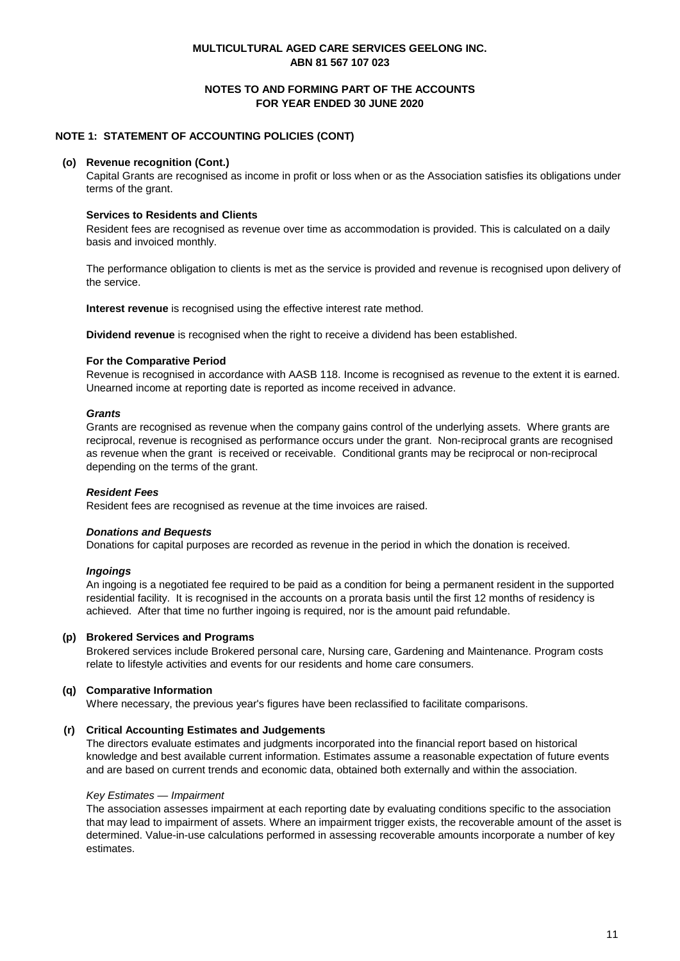## **NOTES TO AND FORMING PART OF THE ACCOUNTS FOR YEAR ENDED 30 JUNE 2020**

## **NOTE 1: STATEMENT OF ACCOUNTING POLICIES (CONT)**

#### **(o) Revenue recognition (Cont.)**

Capital Grants are recognised as income in profit or loss when or as the Association satisfies its obligations under terms of the grant.

### **Services to Residents and Clients**

Resident fees are recognised as revenue over time as accommodation is provided. This is calculated on a daily basis and invoiced monthly.

The performance obligation to clients is met as the service is provided and revenue is recognised upon delivery of the service.

**Interest revenue** is recognised using the effective interest rate method.

**Dividend revenue** is recognised when the right to receive a dividend has been established.

#### **For the Comparative Period**

Revenue is recognised in accordance with AASB 118. Income is recognised as revenue to the extent it is earned. Unearned income at reporting date is reported as income received in advance.

#### *Grants*

Grants are recognised as revenue when the company gains control of the underlying assets. Where grants are reciprocal, revenue is recognised as performance occurs under the grant. Non-reciprocal grants are recognised as revenue when the grant is received or receivable. Conditional grants may be reciprocal or non-reciprocal depending on the terms of the grant.

### *Resident Fees*

Resident fees are recognised as revenue at the time invoices are raised.

#### *Donations and Bequests*

Donations for capital purposes are recorded as revenue in the period in which the donation is received.

### *Ingoings*

An ingoing is a negotiated fee required to be paid as a condition for being a permanent resident in the supported residential facility. It is recognised in the accounts on a prorata basis until the first 12 months of residency is achieved. After that time no further ingoing is required, nor is the amount paid refundable.

#### **(p) Brokered Services and Programs**

Brokered services include Brokered personal care, Nursing care, Gardening and Maintenance. Program costs relate to lifestyle activities and events for our residents and home care consumers.

### **(q) Comparative Information**

Where necessary, the previous year's figures have been reclassified to facilitate comparisons.

### **(r) Critical Accounting Estimates and Judgements**

The directors evaluate estimates and judgments incorporated into the financial report based on historical knowledge and best available current information. Estimates assume a reasonable expectation of future events and are based on current trends and economic data, obtained both externally and within the association.

#### *Key Estimates — Impairment*

The association assesses impairment at each reporting date by evaluating conditions specific to the association that may lead to impairment of assets. Where an impairment trigger exists, the recoverable amount of the asset is determined. Value-in-use calculations performed in assessing recoverable amounts incorporate a number of key estimates.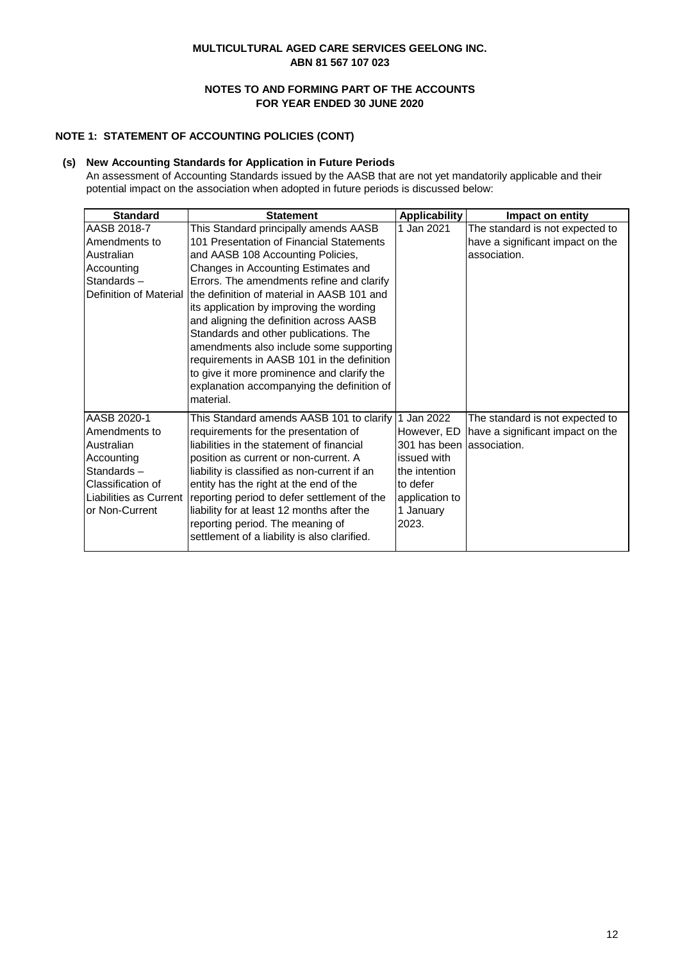## **NOTES TO AND FORMING PART OF THE ACCOUNTS FOR YEAR ENDED 30 JUNE 2020**

## **NOTE 1: STATEMENT OF ACCOUNTING POLICIES (CONT)**

## **(s) New Accounting Standards for Application in Future Periods**

An assessment of Accounting Standards issued by the AASB that are not yet mandatorily applicable and their potential impact on the association when adopted in future periods is discussed below:

| <b>Standard</b>                                                                                                                         | <b>Statement</b>                                                                                                                                                                                                                                                                                                                                                                                                                                                                                                                                                                           | <b>Applicability</b>                                                                                                        | Impact on entity                                                                    |
|-----------------------------------------------------------------------------------------------------------------------------------------|--------------------------------------------------------------------------------------------------------------------------------------------------------------------------------------------------------------------------------------------------------------------------------------------------------------------------------------------------------------------------------------------------------------------------------------------------------------------------------------------------------------------------------------------------------------------------------------------|-----------------------------------------------------------------------------------------------------------------------------|-------------------------------------------------------------------------------------|
| AASB 2018-7<br>Amendments to<br>Australian<br>Accounting<br>Standards-<br>Definition of Material                                        | This Standard principally amends AASB<br>101 Presentation of Financial Statements<br>and AASB 108 Accounting Policies,<br>Changes in Accounting Estimates and<br>Errors. The amendments refine and clarify<br>the definition of material in AASB 101 and<br>its application by improving the wording<br>and aligning the definition across AASB<br>Standards and other publications. The<br>amendments also include some supporting<br>requirements in AASB 101 in the definition<br>to give it more prominence and clarify the<br>explanation accompanying the definition of<br>material. | Jan 2021                                                                                                                    | The standard is not expected to<br>have a significant impact on the<br>association. |
| AASB 2020-1<br>Amendments to<br>Australian<br>Accounting<br>Standards-<br>Classification of<br>Liabilities as Current<br>or Non-Current | This Standard amends AASB 101 to clarify<br>requirements for the presentation of<br>liabilities in the statement of financial<br>position as current or non-current. A<br>liability is classified as non-current if an<br>entity has the right at the end of the<br>reporting period to defer settlement of the<br>liability for at least 12 months after the<br>reporting period. The meaning of<br>settlement of a liability is also clarified.                                                                                                                                          | Jan 2022<br>However, ED<br>301 has been<br>issued with<br>the intention<br>to defer<br>application to<br>1 January<br>2023. | The standard is not expected to<br>have a significant impact on the<br>association. |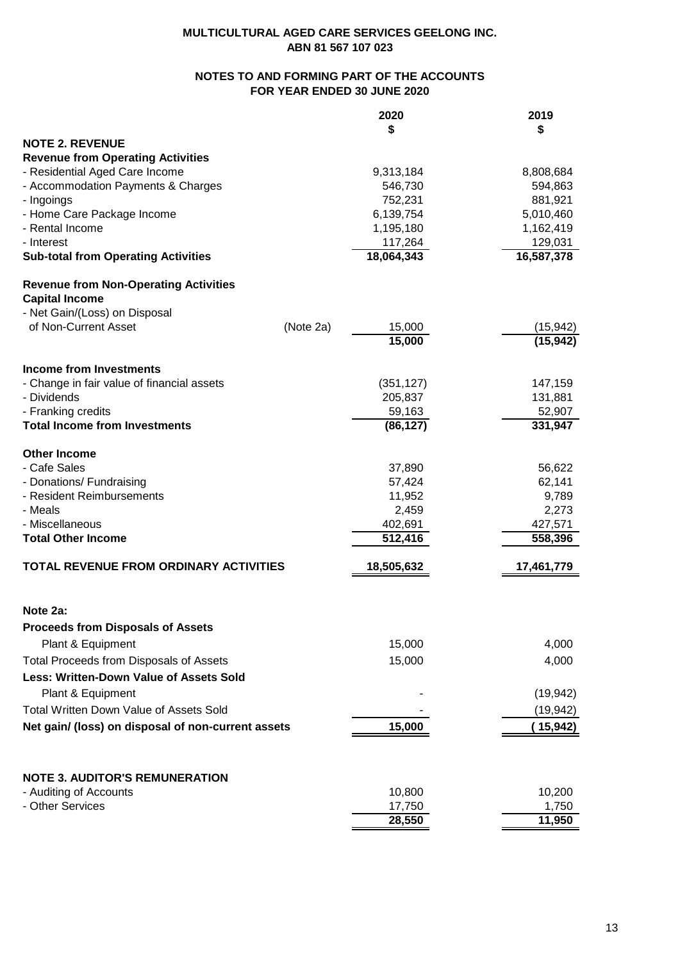## **NOTES TO AND FORMING PART OF THE ACCOUNTS FOR YEAR ENDED 30 JUNE 2020**

|                                                      |           | 2020                  | 2019                  |
|------------------------------------------------------|-----------|-----------------------|-----------------------|
|                                                      |           | \$                    | S                     |
| <b>NOTE 2. REVENUE</b>                               |           |                       |                       |
| <b>Revenue from Operating Activities</b>             |           |                       |                       |
| - Residential Aged Care Income                       |           | 9,313,184             | 8,808,684             |
| - Accommodation Payments & Charges                   |           | 546,730               | 594,863               |
| - Ingoings                                           |           | 752,231               | 881,921               |
| - Home Care Package Income                           |           | 6,139,754             | 5,010,460             |
| - Rental Income<br>- Interest                        |           | 1,195,180             | 1,162,419             |
| <b>Sub-total from Operating Activities</b>           |           | 117,264<br>18,064,343 | 129,031<br>16,587,378 |
| <b>Revenue from Non-Operating Activities</b>         |           |                       |                       |
| <b>Capital Income</b>                                |           |                       |                       |
| - Net Gain/(Loss) on Disposal                        |           |                       |                       |
| of Non-Current Asset                                 | (Note 2a) | 15,000                | (15, 942)             |
|                                                      |           | 15,000                | (15, 942)             |
| <b>Income from Investments</b>                       |           |                       |                       |
| - Change in fair value of financial assets           |           | (351, 127)            | 147,159               |
| - Dividends                                          |           | 205,837               | 131,881               |
| - Franking credits                                   |           | 59,163                | 52,907                |
| <b>Total Income from Investments</b>                 |           | (86, 127)             | 331,947               |
| <b>Other Income</b>                                  |           |                       |                       |
| - Cafe Sales                                         |           | 37,890                | 56,622                |
| - Donations/ Fundraising                             |           | 57,424                | 62,141                |
| - Resident Reimbursements                            |           | 11,952                | 9,789                 |
| - Meals                                              |           | 2,459                 | 2,273                 |
| - Miscellaneous                                      |           | 402,691               | 427,571               |
| <b>Total Other Income</b>                            |           | 512,416               | 558,396               |
| TOTAL REVENUE FROM ORDINARY ACTIVITIES               |           | 18,505,632            | 17,461,779            |
|                                                      |           |                       |                       |
| Note 2a:<br><b>Proceeds from Disposals of Assets</b> |           |                       |                       |
|                                                      |           | 15,000                | 4,000                 |
| Plant & Equipment                                    |           |                       |                       |
| Total Proceeds from Disposals of Assets              |           | 15,000                | 4,000                 |
| <b>Less: Written-Down Value of Assets Sold</b>       |           |                       |                       |
| Plant & Equipment                                    |           |                       | (19, 942)             |
| Total Written Down Value of Assets Sold              |           |                       | (19, 942)             |
| Net gain/ (loss) on disposal of non-current assets   |           | 15,000                | ( 15,942)             |
|                                                      |           |                       |                       |
| <b>NOTE 3. AUDITOR'S REMUNERATION</b>                |           |                       |                       |
| - Auditing of Accounts                               |           | 10,800                | 10,200                |
| - Other Services                                     |           | 17,750                | 1,750                 |
|                                                      |           | 28,550                | 11,950                |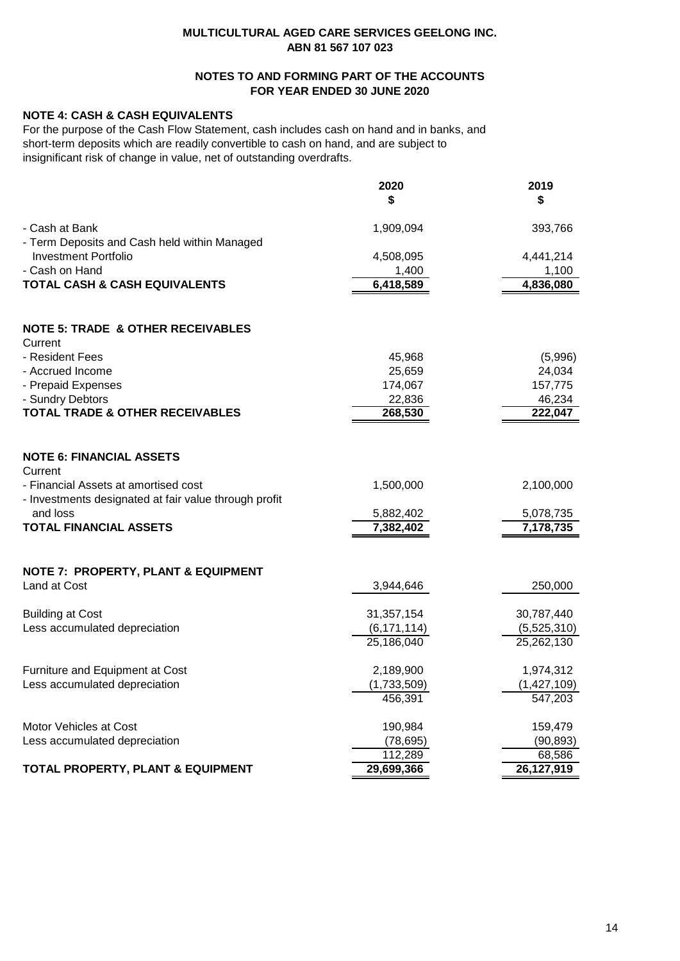## **NOTES TO AND FORMING PART OF THE ACCOUNTS FOR YEAR ENDED 30 JUNE 2020**

## **NOTE 4: CASH & CASH EQUIVALENTS**

For the purpose of the Cash Flow Statement, cash includes cash on hand and in banks, and short-term deposits which are readily convertible to cash on hand, and are subject to insignificant risk of change in value, net of outstanding overdrafts.

|                                                                                               | 2020<br>\$    | 2019<br>\$  |
|-----------------------------------------------------------------------------------------------|---------------|-------------|
| - Cash at Bank<br>- Term Deposits and Cash held within Managed                                | 1,909,094     | 393,766     |
| <b>Investment Portfolio</b>                                                                   | 4,508,095     | 4,441,214   |
| - Cash on Hand                                                                                | 1,400         | 1,100       |
| <b>TOTAL CASH &amp; CASH EQUIVALENTS</b>                                                      | 6,418,589     | 4,836,080   |
| <b>NOTE 5: TRADE &amp; OTHER RECEIVABLES</b><br>Current                                       |               |             |
| - Resident Fees                                                                               | 45,968        | (5,996)     |
| - Accrued Income                                                                              | 25,659        | 24,034      |
| - Prepaid Expenses                                                                            | 174,067       | 157,775     |
| - Sundry Debtors                                                                              | 22,836        | 46,234      |
| <b>TOTAL TRADE &amp; OTHER RECEIVABLES</b>                                                    | 268,530       | 222,047     |
| <b>NOTE 6: FINANCIAL ASSETS</b><br>Current                                                    |               |             |
| - Financial Assets at amortised cost<br>- Investments designated at fair value through profit | 1,500,000     | 2,100,000   |
| and loss                                                                                      | 5,882,402     | 5,078,735   |
| <b>TOTAL FINANCIAL ASSETS</b>                                                                 | 7,382,402     | 7,178,735   |
| <b>NOTE 7: PROPERTY, PLANT &amp; EQUIPMENT</b>                                                |               |             |
| Land at Cost                                                                                  | 3,944,646     | 250,000     |
| <b>Building at Cost</b>                                                                       | 31,357,154    | 30,787,440  |
| Less accumulated depreciation                                                                 | (6, 171, 114) | (5,525,310) |
|                                                                                               | 25,186,040    | 25,262,130  |
| Furniture and Equipment at Cost                                                               | 2,189,900     | 1,974,312   |
| Less accumulated depreciation                                                                 | (1,733,509)   | (1,427,109) |
|                                                                                               | 456,391       | 547,203     |
| Motor Vehicles at Cost                                                                        | 190,984       | 159,479     |
| Less accumulated depreciation                                                                 | (78, 695)     | (90, 893)   |
|                                                                                               | 112,289       | 68,586      |
| <b>TOTAL PROPERTY, PLANT &amp; EQUIPMENT</b>                                                  | 29,699,366    | 26,127,919  |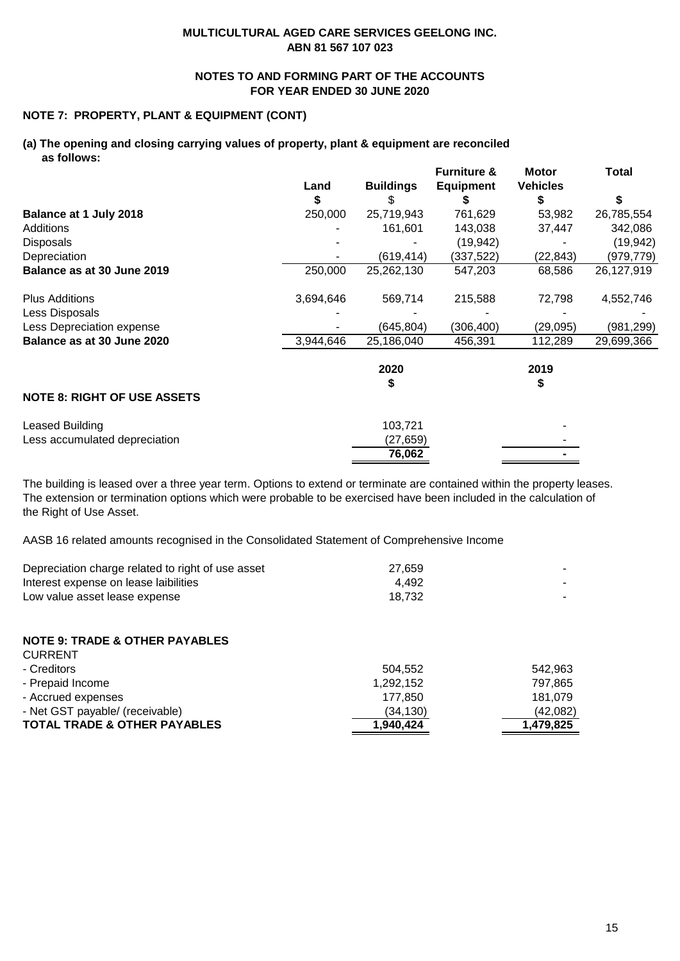## **NOTES TO AND FORMING PART OF THE ACCOUNTS FOR YEAR ENDED 30 JUNE 2020**

## **NOTE 7: PROPERTY, PLANT & EQUIPMENT (CONT)**

### **(a) The opening and closing carrying values of property, plant & equipment are reconciled as follows:**

|                                    |           |                  | <b>Furniture &amp;</b> | <b>Motor</b>    | Total      |
|------------------------------------|-----------|------------------|------------------------|-----------------|------------|
|                                    | Land      | <b>Buildings</b> | <b>Equipment</b>       | <b>Vehicles</b> |            |
|                                    | S         | \$               | S                      | S               | S          |
| Balance at 1 July 2018             | 250,000   | 25,719,943       | 761,629                | 53,982          | 26,785,554 |
| Additions                          |           | 161,601          | 143,038                | 37,447          | 342,086    |
| <b>Disposals</b>                   |           |                  | (19, 942)              |                 | (19, 942)  |
| Depreciation                       |           | (619, 414)       | (337,522)              | (22, 843)       | (979,779)  |
| Balance as at 30 June 2019         | 250,000   | 25,262,130       | 547,203                | 68,586          | 26,127,919 |
| <b>Plus Additions</b>              | 3,694,646 | 569,714          | 215,588                | 72,798          | 4,552,746  |
| Less Disposals                     |           |                  |                        |                 |            |
| Less Depreciation expense          |           | (645, 804)       | (306, 400)             | (29, 095)       | (981,299)  |
| Balance as at 30 June 2020         | 3,944,646 | 25,186,040       | 456,391                | 112,289         | 29,699,366 |
|                                    |           | 2020             |                        | 2019            |            |
|                                    |           | S                |                        | S               |            |
| <b>NOTE 8: RIGHT OF USE ASSETS</b> |           |                  |                        |                 |            |
| Leased Building                    |           | 103,721          |                        |                 |            |
| Less accumulated depreciation      |           | (27, 659)        |                        |                 |            |
|                                    |           | 76,062           |                        |                 |            |

The building is leased over a three year term. Options to extend or terminate are contained within the property leases. The extension or termination options which were probable to be exercised have been included in the calculation of the Right of Use Asset.

AASB 16 related amounts recognised in the Consolidated Statement of Comprehensive Income

| Depreciation charge related to right of use asset | 27.659 |  |
|---------------------------------------------------|--------|--|
| Interest expense on lease laibilities             | 4.492  |  |
| Low value asset lease expense                     | 18.732 |  |

## **NOTE 9: TRADE & OTHER PAYABLES**

| <b>CURRENT</b>                          |           |           |
|-----------------------------------------|-----------|-----------|
| - Creditors                             | 504.552   | 542.963   |
| - Prepaid Income                        | 1.292.152 | 797.865   |
| - Accrued expenses                      | 177.850   | 181.079   |
| - Net GST payable/ (receivable)         | (34, 130) | (42,082)  |
| <b>TOTAL TRADE &amp; OTHER PAYABLES</b> | 1,940,424 | 1,479,825 |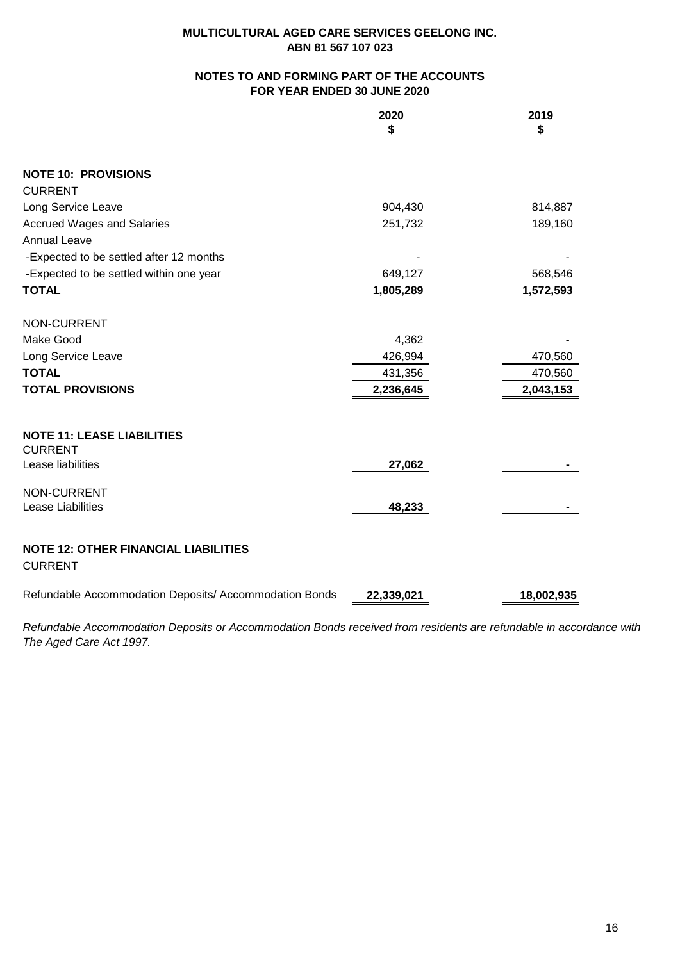## **NOTES TO AND FORMING PART OF THE ACCOUNTS FOR YEAR ENDED 30 JUNE 2020**

|                                                               | 2020<br>\$ | 2019<br>\$ |
|---------------------------------------------------------------|------------|------------|
| <b>NOTE 10: PROVISIONS</b>                                    |            |            |
| <b>CURRENT</b>                                                |            |            |
| Long Service Leave                                            | 904,430    | 814,887    |
| <b>Accrued Wages and Salaries</b>                             | 251,732    | 189,160    |
| <b>Annual Leave</b>                                           |            |            |
| -Expected to be settled after 12 months                       |            |            |
| -Expected to be settled within one year                       | 649,127    | 568,546    |
| <b>TOTAL</b>                                                  | 1,805,289  | 1,572,593  |
| NON-CURRENT                                                   |            |            |
| Make Good                                                     | 4,362      |            |
| Long Service Leave                                            | 426,994    | 470,560    |
| <b>TOTAL</b>                                                  | 431,356    | 470,560    |
| <b>TOTAL PROVISIONS</b>                                       | 2,236,645  | 2,043,153  |
| <b>NOTE 11: LEASE LIABILITIES</b>                             |            |            |
| <b>CURRENT</b><br>Lease liabilities                           | 27,062     |            |
|                                                               |            |            |
| NON-CURRENT                                                   |            |            |
| Lease Liabilities                                             | 48,233     |            |
| <b>NOTE 12: OTHER FINANCIAL LIABILITIES</b><br><b>CURRENT</b> |            |            |
| Refundable Accommodation Deposits/ Accommodation Bonds        | 22,339,021 | 18,002,935 |

*Refundable Accommodation Deposits or Accommodation Bonds received from residents are refundable in accordance with The Aged Care Act 1997.*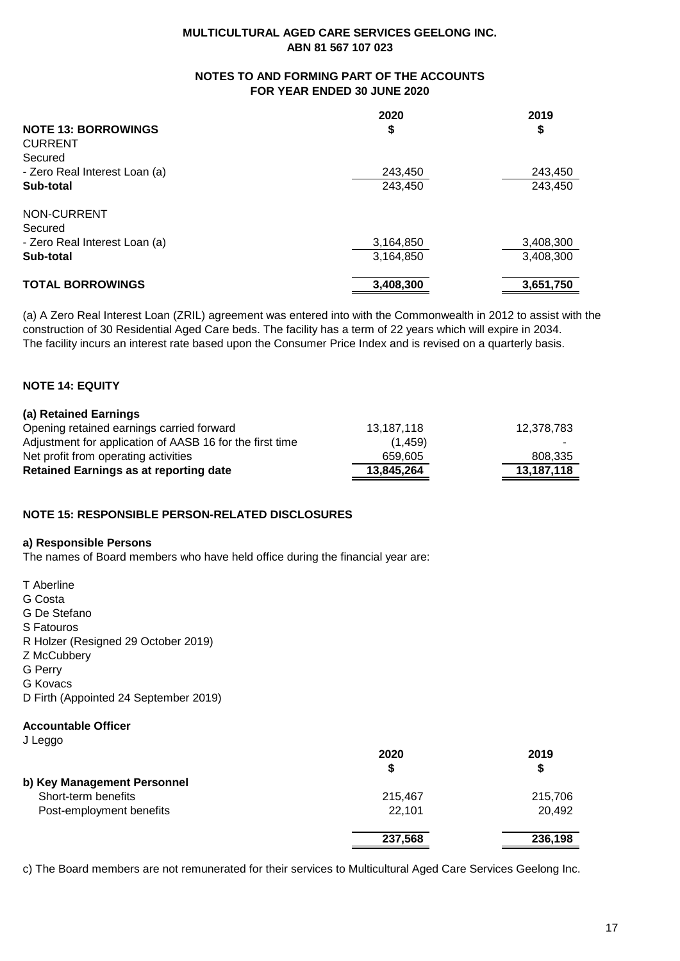## **NOTES TO AND FORMING PART OF THE ACCOUNTS FOR YEAR ENDED 30 JUNE 2020**

|                                                                      | 2020               | 2019               |                               |           |
|----------------------------------------------------------------------|--------------------|--------------------|-------------------------------|-----------|
| <b>NOTE 13: BORROWINGS</b>                                           | \$                 | \$                 |                               |           |
| <b>CURRENT</b>                                                       | 243,450<br>243,450 |                    |                               |           |
| Secured                                                              |                    | 243,450<br>243,450 |                               |           |
| - Zero Real Interest Loan (a)<br>Sub-total<br>NON-CURRENT<br>Secured |                    |                    |                               |           |
|                                                                      |                    |                    |                               |           |
|                                                                      |                    |                    | - Zero Real Interest Loan (a) | 3,164,850 |
|                                                                      | Sub-total          |                    | 3,164,850                     | 3,408,300 |
| <b>TOTAL BORROWINGS</b>                                              | 3,408,300          | 3,651,750          |                               |           |

(a) A Zero Real Interest Loan (ZRIL) agreement was entered into with the Commonwealth in 2012 to assist with the construction of 30 Residential Aged Care beds. The facility has a term of 22 years which will expire in 2034. The facility incurs an interest rate based upon the Consumer Price Index and is revised on a quarterly basis.

## **NOTE 14: EQUITY**

### **(a) Retained Earnings**

| Retained Earnings as at reporting date                   | 13.845.264 | 13.187.118 |
|----------------------------------------------------------|------------|------------|
| Net profit from operating activities                     | 659.605    | 808,335    |
| Adjustment for application of AASB 16 for the first time | (1.459)    |            |
| Opening retained earnings carried forward                | 13.187.118 | 12,378,783 |

## **NOTE 15: RESPONSIBLE PERSON-RELATED DISCLOSURES**

### **a) Responsible Persons**

The names of Board members who have held office during the financial year are:

T Aberline

G Costa

G De Stefano

S Fatouros

R Holzer (Resigned 29 October 2019)

Z McCubbery

G Perry

G Kovacs

D Firth (Appointed 24 September 2019)

## **Accountable Officer**

J Leggo

| $-9.99$                     | 2020    | 2019<br>\$ |
|-----------------------------|---------|------------|
| b) Key Management Personnel |         |            |
| Short-term benefits         | 215,467 | 215,706    |
| Post-employment benefits    | 22,101  | 20,492     |
|                             | 237,568 | 236,198    |

c) The Board members are not remunerated for their services to Multicultural Aged Care Services Geelong Inc.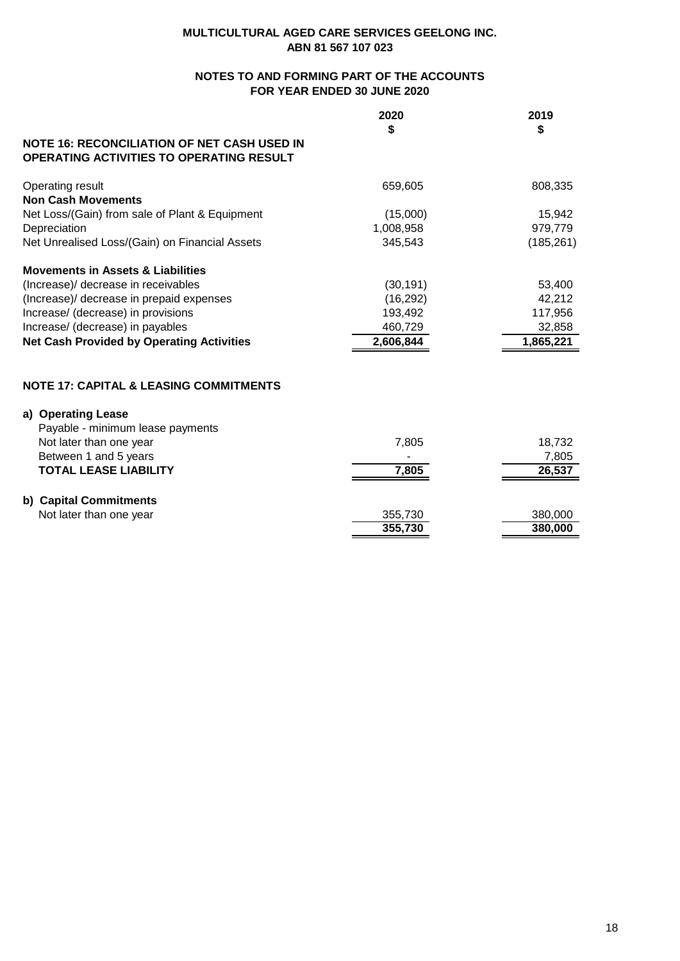## **NOTES TO AND FORMING PART OF THE ACCOUNTS FOR YEAR ENDED 30 JUNE 2020**

|                                                                                                       | 2020<br>\$ | 2019<br>\$ |
|-------------------------------------------------------------------------------------------------------|------------|------------|
| <b>NOTE 16: RECONCILIATION OF NET CASH USED IN</b><br><b>OPERATING ACTIVITIES TO OPERATING RESULT</b> |            |            |
| Operating result<br><b>Non Cash Movements</b>                                                         | 659,605    | 808,335    |
| Net Loss/(Gain) from sale of Plant & Equipment                                                        | (15,000)   | 15,942     |
| Depreciation                                                                                          | 1,008,958  | 979,779    |
| Net Unrealised Loss/(Gain) on Financial Assets                                                        | 345,543    | (185, 261) |
| <b>Movements in Assets &amp; Liabilities</b>                                                          |            |            |
| (Increase)/ decrease in receivables                                                                   | (30, 191)  | 53,400     |
| (Increase)/ decrease in prepaid expenses                                                              | (16, 292)  | 42,212     |
| Increase/ (decrease) in provisions                                                                    | 193,492    | 117,956    |
| Increase/ (decrease) in payables                                                                      | 460,729    | 32,858     |
| <b>Net Cash Provided by Operating Activities</b>                                                      | 2,606,844  | 1,865,221  |
| <b>NOTE 17: CAPITAL &amp; LEASING COMMITMENTS</b>                                                     |            |            |
|                                                                                                       |            |            |
| a) Operating Lease                                                                                    |            |            |
| Payable - minimum lease payments<br>Not later than one year                                           | 7,805      | 18,732     |
| Between 1 and 5 years                                                                                 |            | 7,805      |
| <b>TOTAL LEASE LIABILITY</b>                                                                          | 7,805      | 26,537     |
|                                                                                                       |            |            |
| b) Capital Commitments                                                                                |            |            |

| Not later than one year | 355.730 | 380.000 |
|-------------------------|---------|---------|
|                         | 355,730 | 380.000 |
|                         |         |         |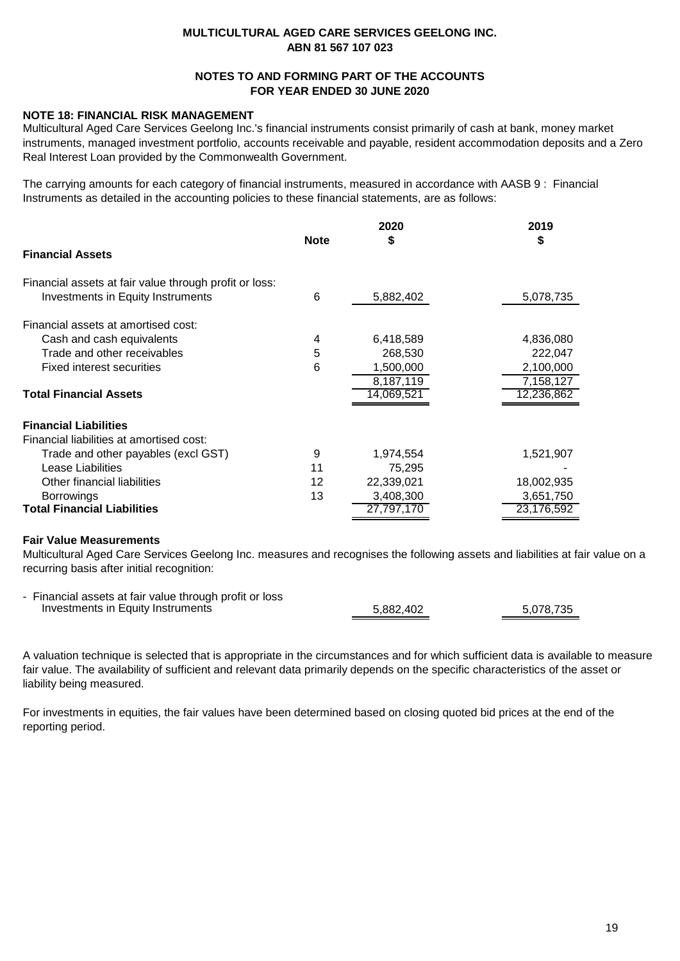## **NOTES TO AND FORMING PART OF THE ACCOUNTS FOR YEAR ENDED 30 JUNE 2020**

## **NOTE 18: FINANCIAL RISK MANAGEMENT**

Multicultural Aged Care Services Geelong Inc.'s financial instruments consist primarily of cash at bank, money market instruments, managed investment portfolio, accounts receivable and payable, resident accommodation deposits and a Zero Real Interest Loan provided by the Commonwealth Government.

The carrying amounts for each category of financial instruments, measured in accordance with AASB 9 : Financial Instruments as detailed in the accounting policies to these financial statements, are as follows:

|                                                        | <b>Note</b> | 2020<br>\$ | 2019<br>\$ |
|--------------------------------------------------------|-------------|------------|------------|
| <b>Financial Assets</b>                                |             |            |            |
| Financial assets at fair value through profit or loss: |             |            |            |
| <b>Investments in Equity Instruments</b>               | 6           | 5,882,402  | 5,078,735  |
| Financial assets at amortised cost:                    |             |            |            |
| Cash and cash equivalents                              | 4           | 6,418,589  | 4,836,080  |
| Trade and other receivables                            | 5           | 268,530    | 222,047    |
| <b>Fixed interest securities</b>                       | 6           | 1,500,000  | 2,100,000  |
|                                                        |             | 8,187,119  | 7,158,127  |
| <b>Total Financial Assets</b>                          |             | 14,069,521 | 12,236,862 |
| <b>Financial Liabilities</b>                           |             |            |            |
| Financial liabilities at amortised cost:               |             |            |            |
| Trade and other payables (excl GST)                    | 9           | 1,974,554  | 1,521,907  |
| Lease Liabilities                                      | 11          | 75,295     |            |
| Other financial liabilities                            | 12          | 22,339,021 | 18,002,935 |
| <b>Borrowings</b>                                      | 13          | 3,408,300  | 3,651,750  |
| <b>Total Financial Liabilities</b>                     |             | 27,797,170 | 23,176,592 |

## **Fair Value Measurements**

Multicultural Aged Care Services Geelong Inc. measures and recognises the following assets and liabilities at fair value on a recurring basis after initial recognition:

| - Financial assets at fair value through profit or loss |           |           |
|---------------------------------------------------------|-----------|-----------|
| Investments in Equity Instruments                       | 5,882,402 | 5.078.735 |

A valuation technique is selected that is appropriate in the circumstances and for which sufficient data is available to measure fair value. The availability of sufficient and relevant data primarily depends on the specific characteristics of the asset or liability being measured.

For investments in equities, the fair values have been determined based on closing quoted bid prices at the end of the reporting period.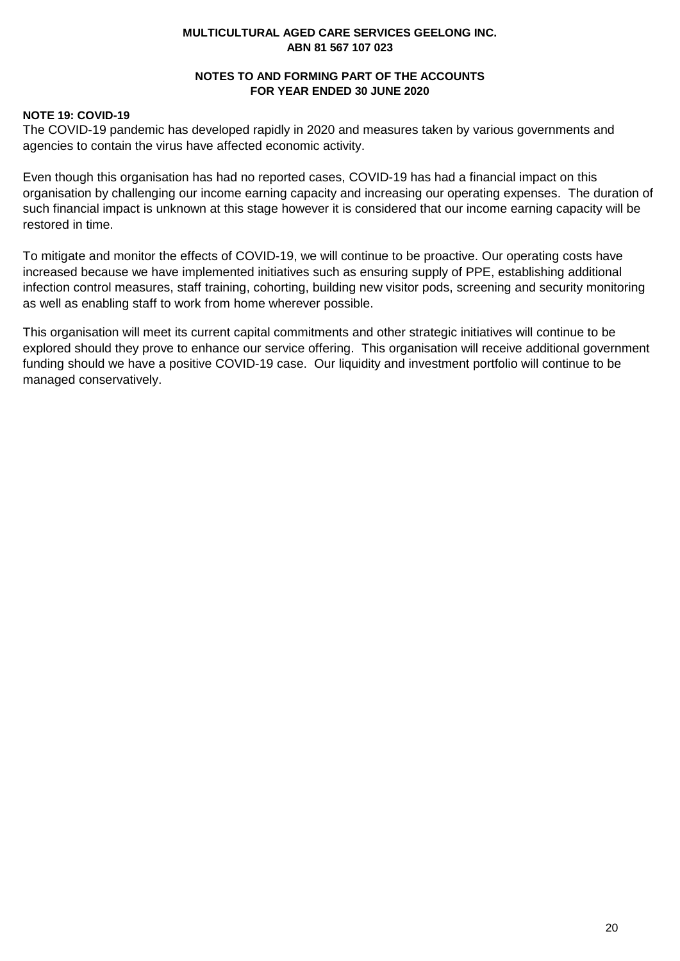## **NOTES TO AND FORMING PART OF THE ACCOUNTS FOR YEAR ENDED 30 JUNE 2020**

## **NOTE 19: COVID-19**

The COVID-19 pandemic has developed rapidly in 2020 and measures taken by various governments and agencies to contain the virus have affected economic activity.

Even though this organisation has had no reported cases, COVID-19 has had a financial impact on this organisation by challenging our income earning capacity and increasing our operating expenses. The duration of such financial impact is unknown at this stage however it is considered that our income earning capacity will be restored in time.

To mitigate and monitor the effects of COVID-19, we will continue to be proactive. Our operating costs have increased because we have implemented initiatives such as ensuring supply of PPE, establishing additional infection control measures, staff training, cohorting, building new visitor pods, screening and security monitoring as well as enabling staff to work from home wherever possible.

This organisation will meet its current capital commitments and other strategic initiatives will continue to be explored should they prove to enhance our service offering. This organisation will receive additional government funding should we have a positive COVID-19 case. Our liquidity and investment portfolio will continue to be managed conservatively.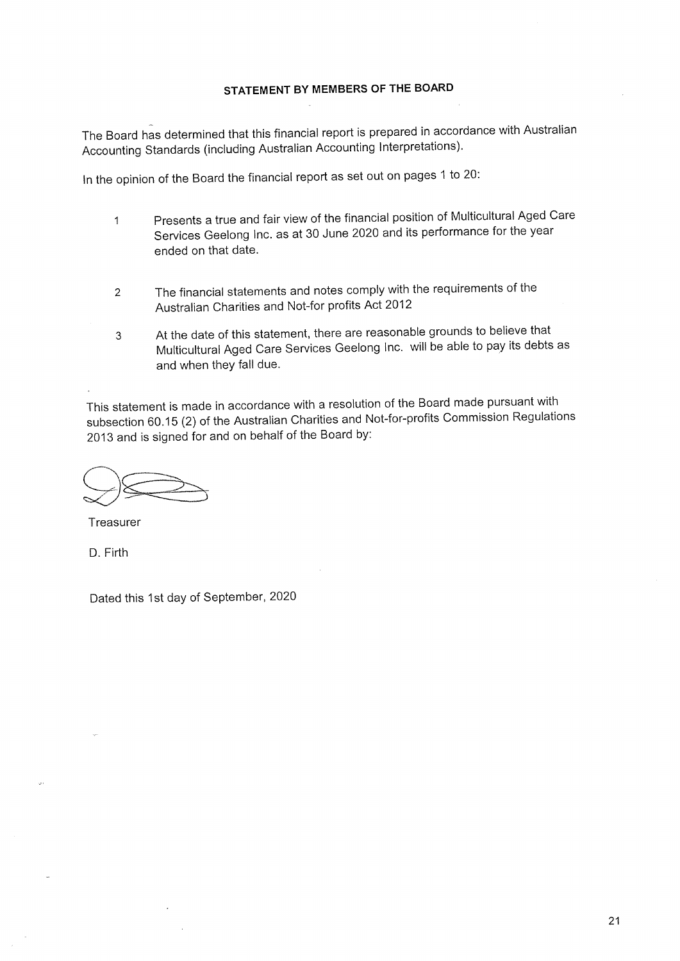## STATEMENT BY MEMBERS OF THE BOARD

The Board has determined that this financial report is prepared in accordance with Australian Accounting Standards (including Australian Accounting Interpretations).

In the opinion of the Board the financial report as set out on pages 1 to 20:

- Presents a true and fair view of the financial position of Multicultural Aged Care  $\mathbf{1}$ Services Geelong Inc. as at 30 June 2020 and its performance for the year ended on that date.
- The financial statements and notes comply with the requirements of the  $\overline{2}$ Australian Charities and Not-for profits Act 2012
- At the date of this statement, there are reasonable grounds to believe that  $\mathfrak{S}$ Multicultural Aged Care Services Geelong Inc. will be able to pay its debts as and when they fall due.

This statement is made in accordance with a resolution of the Board made pursuant with subsection 60.15 (2) of the Australian Charities and Not-for-profits Commission Regulations 2013 and is signed for and on behalf of the Board by:

Treasurer

D. Firth

Dated this 1st day of September, 2020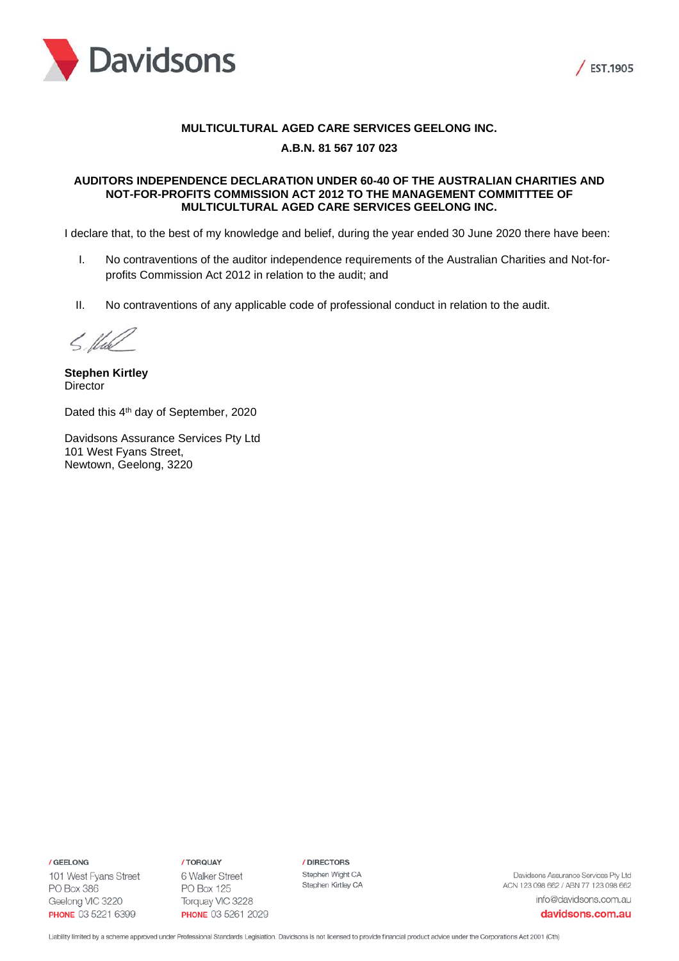



### **MULTICULTURAL AGED CARE SERVICES GEELONG INC.**

## **A.B.N. 81 567 107 023**

### **AUDITORS INDEPENDENCE DECLARATION UNDER 60-40 OF THE AUSTRALIAN CHARITIES AND NOT-FOR-PROFITS COMMISSION ACT 2012 TO THE MANAGEMENT COMMITTTEE OF MULTICULTURAL AGED CARE SERVICES GEELONG INC.**

I declare that, to the best of my knowledge and belief, during the year ended 30 June 2020 there have been:

- I. No contraventions of the auditor independence requirements of the Australian Charities and Not-forprofits Commission Act 2012 in relation to the audit; and
- II. No contraventions of any applicable code of professional conduct in relation to the audit.

5. Und

**Stephen Kirtley Director** 

Dated this 4<sup>th</sup> day of September, 2020

Davidsons Assurance Services Pty Ltd 101 West Fyans Street, Newtown, Geelong, 3220

/ GEELONG

101 West Fyans Street PO Box 386 Geelong VIC 3220 **PHONE** 03 5221 6399

/ TORQUAY 6 Walker Street **PO Box 125** Torquay VIC 3228 **PHONE 03 5261 2029**  / DIRECTORS Stephen Wight CA Stephen Kirtley CA

Davidsons Assurance Services Pty Ltd ACN 123 098 662 / ABN 77 123 098 662 info@davidsons.com.au

davidsons.com.au

Liability limited by a scheme approved under Professional Standards Legislation. Davidsons is not licensed to provide financial product advice under the Corporations Act 2001 (Cth)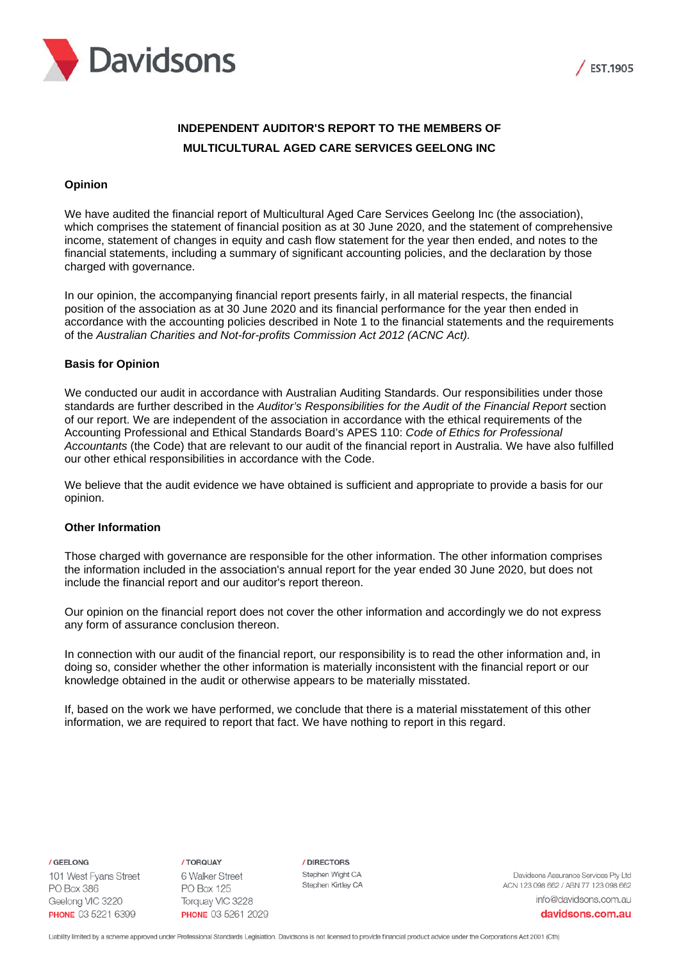



# **INDEPENDENT AUDITOR'S REPORT TO THE MEMBERS OF MULTICULTURAL AGED CARE SERVICES GEELONG INC**

### **Opinion**

We have audited the financial report of Multicultural Aged Care Services Geelong Inc (the association), which comprises the statement of financial position as at 30 June 2020, and the statement of comprehensive income, statement of changes in equity and cash flow statement for the year then ended, and notes to the financial statements, including a summary of significant accounting policies, and the declaration by those charged with governance.

In our opinion, the accompanying financial report presents fairly, in all material respects, the financial position of the association as at 30 June 2020 and its financial performance for the year then ended in accordance with the accounting policies described in Note 1 to the financial statements and the requirements of the *Australian Charities and Not-for-profits Commission Act 2012 (ACNC Act).*

### **Basis for Opinion**

We conducted our audit in accordance with Australian Auditing Standards. Our responsibilities under those standards are further described in the *Auditor's Responsibilities for the Audit of the Financial Report* section of our report. We are independent of the association in accordance with the ethical requirements of the Accounting Professional and Ethical Standards Board's APES 110: *Code of Ethics for Professional Accountants* (the Code) that are relevant to our audit of the financial report in Australia. We have also fulfilled our other ethical responsibilities in accordance with the Code.

We believe that the audit evidence we have obtained is sufficient and appropriate to provide a basis for our opinion.

### **Other Information**

Those charged with governance are responsible for the other information. The other information comprises the information included in the association's annual report for the year ended 30 June 2020, but does not include the financial report and our auditor's report thereon.

Our opinion on the financial report does not cover the other information and accordingly we do not express any form of assurance conclusion thereon.

In connection with our audit of the financial report, our responsibility is to read the other information and, in doing so, consider whether the other information is materially inconsistent with the financial report or our knowledge obtained in the audit or otherwise appears to be materially misstated.

If, based on the work we have performed, we conclude that there is a material misstatement of this other information, we are required to report that fact. We have nothing to report in this regard.

/ GEELONG

101 West Fyans Street **PO Box 386** Geelong VIC 3220 **PHONE** 03 5221 6399

/ TORQUAY 6 Walker Street **PO Box 125** Torquay VIC 3228 PHONE 03 5261 2029 / DIRECTORS Stephen Wight CA Stephen Kirtley CA

Davidsons Assurance Services Ptv Ltd ACN 123 098 662 / ABN 77 123 098 662 info@davidsons.com.au

davidsons.com.au

Liability limited by a scheme approved under Professional Standards Legislation. Davidsons is not licensed to provide financial product advice under the Corporations Act 2001 (Cth)